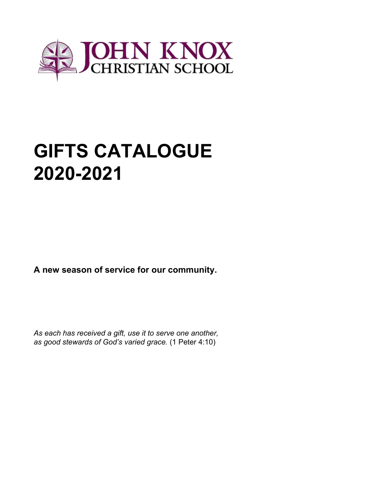

# **GIFTS CATALOGUE 2020-2021**

**A new season of service for our community.**

*As each has received a gift, use it to serve one another, as good stewards of God's varied grace.* (1 Peter 4:10)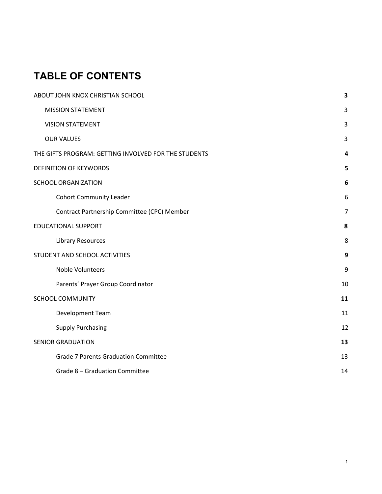# **TABLE OF CONTENTS**

| ABOUT JOHN KNOX CHRISTIAN SCHOOL                     | 3              |
|------------------------------------------------------|----------------|
| <b>MISSION STATEMENT</b>                             | 3              |
| <b>VISION STATEMENT</b>                              | 3              |
| <b>OUR VALUES</b>                                    | 3              |
| THE GIFTS PROGRAM: GETTING INVOLVED FOR THE STUDENTS | 4              |
| <b>DEFINITION OF KEYWORDS</b>                        | 5              |
| <b>SCHOOL ORGANIZATION</b>                           | 6              |
| <b>Cohort Community Leader</b>                       | 6              |
| Contract Partnership Committee (CPC) Member          | $\overline{7}$ |
| <b>EDUCATIONAL SUPPORT</b>                           | 8              |
| <b>Library Resources</b>                             | 8              |
| STUDENT AND SCHOOL ACTIVITIES                        | 9              |
| Noble Volunteers                                     | 9              |
| Parents' Prayer Group Coordinator                    | 10             |
| <b>SCHOOL COMMUNITY</b>                              | 11             |
| Development Team                                     | 11             |
| <b>Supply Purchasing</b>                             | 12             |
| <b>SENIOR GRADUATION</b>                             | 13             |
| <b>Grade 7 Parents Graduation Committee</b>          | 13             |
| Grade 8 - Graduation Committee                       | 14             |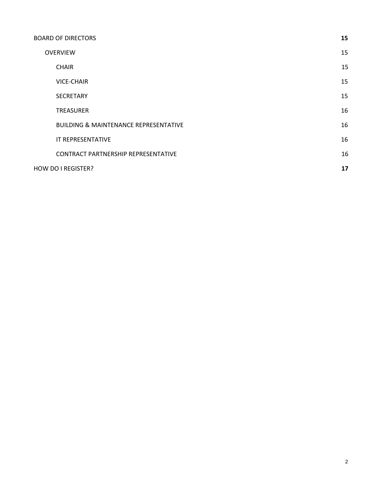| <b>BOARD OF DIRECTORS</b>                        | 15 |
|--------------------------------------------------|----|
| <b>OVERVIEW</b>                                  | 15 |
| <b>CHAIR</b>                                     | 15 |
| <b>VICE-CHAIR</b>                                | 15 |
| <b>SECRETARY</b>                                 | 15 |
| <b>TREASURER</b>                                 | 16 |
| <b>BUILDING &amp; MAINTENANCE REPRESENTATIVE</b> | 16 |
| IT REPRESENTATIVE                                | 16 |
| <b>CONTRACT PARTNERSHIP REPRESENTATIVE</b>       | 16 |
| HOW DO I REGISTER?                               | 17 |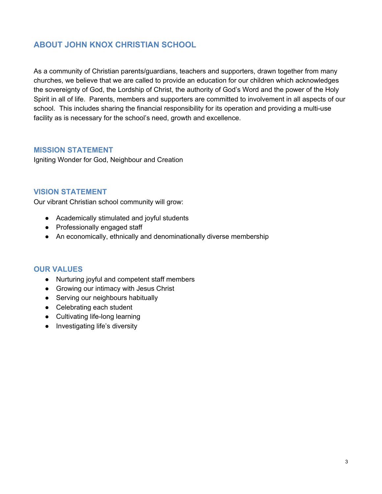# <span id="page-3-0"></span>**ABOUT JOHN KNOX CHRISTIAN SCHOOL**

As a community of Christian parents/guardians, teachers and supporters, drawn together from many churches, we believe that we are called to provide an education for our children which acknowledges the sovereignty of God, the Lordship of Christ, the authority of God's Word and the power of the Holy Spirit in all of life. Parents, members and supporters are committed to involvement in all aspects of our school. This includes sharing the financial responsibility for its operation and providing a multi-use facility as is necessary for the school's need, growth and excellence.

### <span id="page-3-1"></span>**MISSION STATEMENT**

Igniting Wonder for God, Neighbour and Creation

#### <span id="page-3-2"></span>**VISION STATEMENT**

Our vibrant Christian school community will grow:

- Academically stimulated and joyful students
- Professionally engaged staff
- An economically, ethnically and denominationally diverse membership

### <span id="page-3-3"></span>**OUR VALUES**

- Nurturing joyful and competent staff members
- Growing our intimacy with Jesus Christ
- Serving our neighbours habitually
- Celebrating each student
- Cultivating life-long learning
- Investigating life's diversity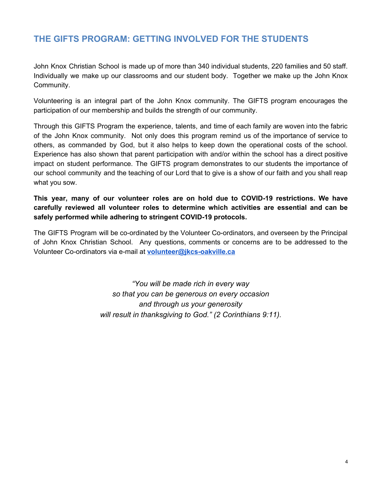# <span id="page-4-0"></span>**THE GIFTS PROGRAM: GETTING INVOLVED FOR THE STUDENTS**

John Knox Christian School is made up of more than 340 individual students, 220 families and 50 staff. Individually we make up our classrooms and our student body. Together we make up the John Knox Community.

Volunteering is an integral part of the John Knox community. The GIFTS program encourages the participation of our membership and builds the strength of our community.

Through this GIFTS Program the experience, talents, and time of each family are woven into the fabric of the John Knox community. Not only does this program remind us of the importance of service to others, as commanded by God, but it also helps to keep down the operational costs of the school. Experience has also shown that parent participation with and/or within the school has a direct positive impact on student performance. The GIFTS program demonstrates to our students the importance of our school community and the teaching of our Lord that to give is a show of our faith and you shall reap what you sow.

**This year, many of our volunteer roles are on hold due to COVID-19 restrictions. We have carefully reviewed all volunteer roles to determine which activities are essential and can be safely performed while adhering to stringent COVID-19 protocols.**

The GIFTS Program will be co-ordinated by the Volunteer Co-ordinators, and overseen by the Principal of John Knox Christian School. Any questions, comments or concerns are to be addressed to the Volunteer Co-ordinators via e-mail at **[volunteer@jkcs-oakville.ca](mailto:volunteer@jkcs-oakville.ca)**

> *"You will be made rich in every way so that you can be generous on every occasion and through us your generosity will result in thanksgiving to God." (2 Corinthians 9:11).*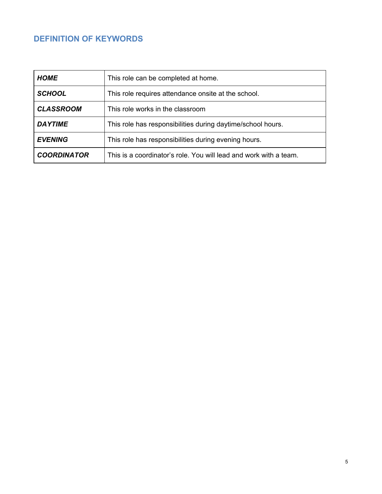# <span id="page-5-0"></span>**DEFINITION OF KEYWORDS**

| <b>HOME</b>                                                                   | This role can be completed at home.                               |  |
|-------------------------------------------------------------------------------|-------------------------------------------------------------------|--|
| <b>SCHOOL</b>                                                                 | This role requires attendance onsite at the school.               |  |
| <b>CLASSROOM</b>                                                              | This role works in the classroom                                  |  |
| <b>DAYTIME</b><br>This role has responsibilities during daytime/school hours. |                                                                   |  |
| <b>EVENING</b>                                                                | This role has responsibilities during evening hours.              |  |
| <b>COORDINATOR</b>                                                            | This is a coordinator's role. You will lead and work with a team. |  |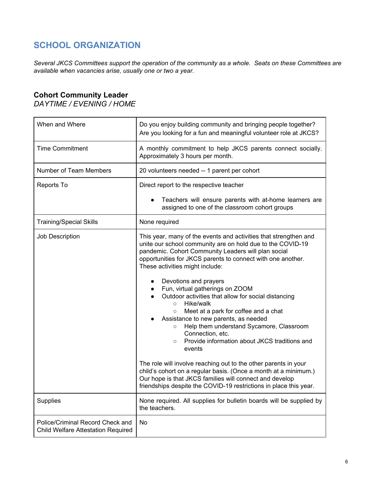# <span id="page-6-0"></span>**SCHOOL ORGANIZATION**

*Several JKCS Committees support the operation of the community as a whole. Seats on these Committees are available when vacancies arise, usually one or two a year.*

## <span id="page-6-1"></span>**Cohort Community Leader**

*DAYTIME / EVENING / HOME*

| When and Where                                                         | Do you enjoy building community and bringing people together?<br>Are you looking for a fun and meaningful volunteer role at JKCS?                                                                                                                                                                                                                                                                                                                                                                                                                                                                                                                                                           |
|------------------------------------------------------------------------|---------------------------------------------------------------------------------------------------------------------------------------------------------------------------------------------------------------------------------------------------------------------------------------------------------------------------------------------------------------------------------------------------------------------------------------------------------------------------------------------------------------------------------------------------------------------------------------------------------------------------------------------------------------------------------------------|
| <b>Time Commitment</b>                                                 | A monthly commitment to help JKCS parents connect socially.<br>Approximately 3 hours per month.                                                                                                                                                                                                                                                                                                                                                                                                                                                                                                                                                                                             |
| Number of Team Members                                                 | 20 volunteers needed -- 1 parent per cohort                                                                                                                                                                                                                                                                                                                                                                                                                                                                                                                                                                                                                                                 |
| Reports To                                                             | Direct report to the respective teacher                                                                                                                                                                                                                                                                                                                                                                                                                                                                                                                                                                                                                                                     |
|                                                                        | Teachers will ensure parents with at-home learners are<br>assigned to one of the classroom cohort groups                                                                                                                                                                                                                                                                                                                                                                                                                                                                                                                                                                                    |
| <b>Training/Special Skills</b>                                         | None required                                                                                                                                                                                                                                                                                                                                                                                                                                                                                                                                                                                                                                                                               |
| Job Description                                                        | This year, many of the events and activities that strengthen and<br>unite our school community are on hold due to the COVID-19<br>pandemic. Cohort Community Leaders will plan social<br>opportunities for JKCS parents to connect with one another.<br>These activities might include:<br>Devotions and prayers<br>$\bullet$<br>Fun, virtual gatherings on ZOOM<br>Outdoor activities that allow for social distancing<br>Hike/walk<br>$\circ$<br>Meet at a park for coffee and a chat<br>$\circ$<br>Assistance to new parents, as needed<br>Help them understand Sycamore, Classroom<br>$\circ$<br>Connection, etc.<br>Provide information about JKCS traditions and<br>$\circ$<br>events |
|                                                                        | The role will involve reaching out to the other parents in your<br>child's cohort on a regular basis. (Once a month at a minimum.)<br>Our hope is that JKCS families will connect and develop<br>friendships despite the COVID-19 restrictions in place this year.                                                                                                                                                                                                                                                                                                                                                                                                                          |
| Supplies                                                               | None required. All supplies for bulletin boards will be supplied by<br>the teachers.                                                                                                                                                                                                                                                                                                                                                                                                                                                                                                                                                                                                        |
| Police/Criminal Record Check and<br>Child Welfare Attestation Required | No                                                                                                                                                                                                                                                                                                                                                                                                                                                                                                                                                                                                                                                                                          |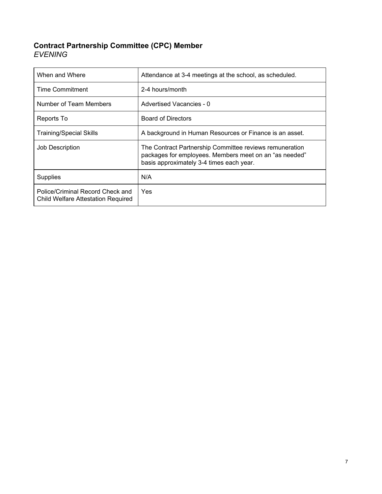# <span id="page-7-0"></span>**Contract Partnership Committee (CPC) Member** *EVENING*

| When and Where                                                         | Attendance at 3-4 meetings at the school, as scheduled.                                                                                                       |
|------------------------------------------------------------------------|---------------------------------------------------------------------------------------------------------------------------------------------------------------|
| Time Commitment                                                        | 2-4 hours/month                                                                                                                                               |
| Number of Team Members                                                 | Advertised Vacancies - 0                                                                                                                                      |
| Reports To                                                             | <b>Board of Directors</b>                                                                                                                                     |
| <b>Training/Special Skills</b>                                         | A background in Human Resources or Finance is an asset.                                                                                                       |
| Job Description                                                        | The Contract Partnership Committee reviews remuneration<br>packages for employees. Members meet on an "as needed"<br>basis approximately 3-4 times each year. |
| <b>Supplies</b>                                                        | N/A                                                                                                                                                           |
| Police/Criminal Record Check and<br>Child Welfare Attestation Required | <b>Yes</b>                                                                                                                                                    |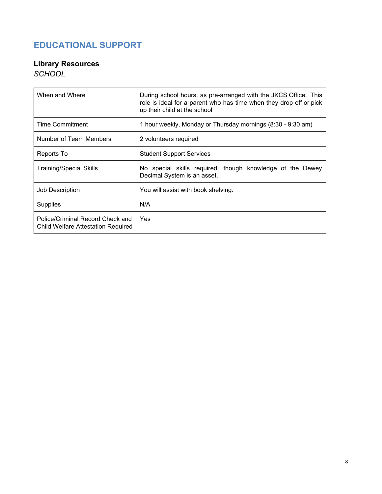# <span id="page-8-0"></span>**EDUCATIONAL SUPPORT**

# <span id="page-8-1"></span>**Library Resources**

*SCHOOL*

| When and Where                                                         | During school hours, as pre-arranged with the JKCS Office. This<br>role is ideal for a parent who has time when they drop off or pick<br>up their child at the school |
|------------------------------------------------------------------------|-----------------------------------------------------------------------------------------------------------------------------------------------------------------------|
| Time Commitment                                                        | 1 hour weekly, Monday or Thursday mornings (8:30 - 9:30 am)                                                                                                           |
| Number of Team Members                                                 | 2 volunteers required                                                                                                                                                 |
| Reports To                                                             | <b>Student Support Services</b>                                                                                                                                       |
| <b>Training/Special Skills</b>                                         | No special skills required, though knowledge of the Dewey<br>Decimal System is an asset.                                                                              |
| Job Description                                                        | You will assist with book shelving.                                                                                                                                   |
| <b>Supplies</b>                                                        | N/A                                                                                                                                                                   |
| Police/Criminal Record Check and<br>Child Welfare Attestation Required | Yes                                                                                                                                                                   |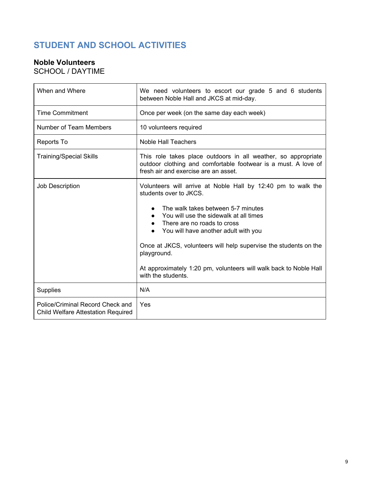# <span id="page-9-0"></span>**STUDENT AND SCHOOL ACTIVITIES**

# <span id="page-9-1"></span>**Noble Volunteers**

SCHOOL / DAYTIME

| When and Where                                                                | We need volunteers to escort our grade 5 and 6 students<br>between Noble Hall and JKCS at mid-day.                                                                                                                                                                                                                                                                                                                                       |
|-------------------------------------------------------------------------------|------------------------------------------------------------------------------------------------------------------------------------------------------------------------------------------------------------------------------------------------------------------------------------------------------------------------------------------------------------------------------------------------------------------------------------------|
| <b>Time Commitment</b>                                                        | Once per week (on the same day each week)                                                                                                                                                                                                                                                                                                                                                                                                |
| Number of Team Members                                                        | 10 volunteers required                                                                                                                                                                                                                                                                                                                                                                                                                   |
| Reports To                                                                    | <b>Noble Hall Teachers</b>                                                                                                                                                                                                                                                                                                                                                                                                               |
| <b>Training/Special Skills</b>                                                | This role takes place outdoors in all weather, so appropriate<br>outdoor clothing and comfortable footwear is a must. A love of<br>fresh air and exercise are an asset.                                                                                                                                                                                                                                                                  |
| Job Description                                                               | Volunteers will arrive at Noble Hall by 12:40 pm to walk the<br>students over to JKCS.<br>The walk takes between 5-7 minutes<br>$\bullet$<br>You will use the sidewalk at all times<br>There are no roads to cross<br>You will have another adult with you<br>Once at JKCS, volunteers will help supervise the students on the<br>playground.<br>At approximately 1:20 pm, volunteers will walk back to Noble Hall<br>with the students. |
| <b>Supplies</b>                                                               | N/A                                                                                                                                                                                                                                                                                                                                                                                                                                      |
| Police/Criminal Record Check and<br><b>Child Welfare Attestation Required</b> | Yes                                                                                                                                                                                                                                                                                                                                                                                                                                      |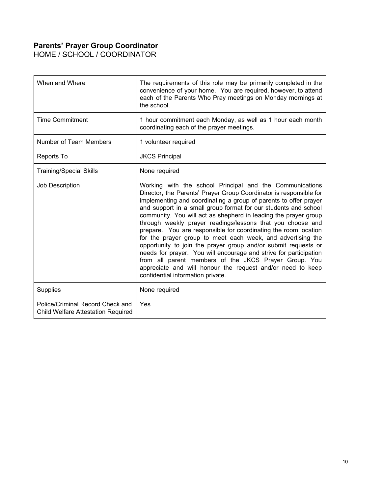## <span id="page-10-0"></span>**Parents' Prayer Group Coordinator**

HOME / SCHOOL / COORDINATOR

| When and Where                                                                | The requirements of this role may be primarily completed in the<br>convenience of your home. You are required, however, to attend<br>each of the Parents Who Pray meetings on Monday mornings at<br>the school.                                                                                                                                                                                                                                                                                                                                                                                                                                                                                                                                                                                                                             |
|-------------------------------------------------------------------------------|---------------------------------------------------------------------------------------------------------------------------------------------------------------------------------------------------------------------------------------------------------------------------------------------------------------------------------------------------------------------------------------------------------------------------------------------------------------------------------------------------------------------------------------------------------------------------------------------------------------------------------------------------------------------------------------------------------------------------------------------------------------------------------------------------------------------------------------------|
| <b>Time Commitment</b>                                                        | 1 hour commitment each Monday, as well as 1 hour each month<br>coordinating each of the prayer meetings.                                                                                                                                                                                                                                                                                                                                                                                                                                                                                                                                                                                                                                                                                                                                    |
| Number of Team Members                                                        | 1 volunteer required                                                                                                                                                                                                                                                                                                                                                                                                                                                                                                                                                                                                                                                                                                                                                                                                                        |
| Reports To                                                                    | <b>JKCS Principal</b>                                                                                                                                                                                                                                                                                                                                                                                                                                                                                                                                                                                                                                                                                                                                                                                                                       |
| <b>Training/Special Skills</b>                                                | None required                                                                                                                                                                                                                                                                                                                                                                                                                                                                                                                                                                                                                                                                                                                                                                                                                               |
| Job Description                                                               | Working with the school Principal and the Communications<br>Director, the Parents' Prayer Group Coordinator is responsible for<br>implementing and coordinating a group of parents to offer prayer<br>and support in a small group format for our students and school<br>community. You will act as shepherd in leading the prayer group<br>through weekly prayer readings/lessons that you choose and<br>prepare. You are responsible for coordinating the room location<br>for the prayer group to meet each week, and advertising the<br>opportunity to join the prayer group and/or submit requests or<br>needs for prayer. You will encourage and strive for participation<br>from all parent members of the JKCS Prayer Group. You<br>appreciate and will honour the request and/or need to keep<br>confidential information private. |
| Supplies                                                                      | None required                                                                                                                                                                                                                                                                                                                                                                                                                                                                                                                                                                                                                                                                                                                                                                                                                               |
| Police/Criminal Record Check and<br><b>Child Welfare Attestation Required</b> | Yes                                                                                                                                                                                                                                                                                                                                                                                                                                                                                                                                                                                                                                                                                                                                                                                                                                         |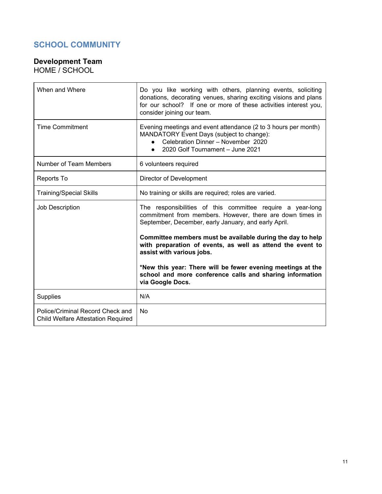# <span id="page-11-0"></span>**SCHOOL COMMUNITY**

## <span id="page-11-1"></span>**Development Team**

HOME / SCHOOL

| When and Where                                                                | Do you like working with others, planning events, soliciting<br>donations, decorating venues, sharing exciting visions and plans<br>for our school? If one or more of these activities interest you,<br>consider joining our team. |
|-------------------------------------------------------------------------------|------------------------------------------------------------------------------------------------------------------------------------------------------------------------------------------------------------------------------------|
| <b>Time Commitment</b>                                                        | Evening meetings and event attendance (2 to 3 hours per month)<br>MANDATORY Event Days (subject to change):<br>Celebration Dinner - November 2020<br>2020 Golf Tournament - June 2021<br>$\bullet$                                 |
| Number of Team Members                                                        | 6 volunteers required                                                                                                                                                                                                              |
| Reports To                                                                    | Director of Development                                                                                                                                                                                                            |
| <b>Training/Special Skills</b>                                                | No training or skills are required; roles are varied.                                                                                                                                                                              |
| Job Description                                                               | The responsibilities of this committee require a year-long<br>commitment from members. However, there are down times in<br>September, December, early January, and early April.                                                    |
|                                                                               | Committee members must be available during the day to help<br>with preparation of events, as well as attend the event to<br>assist with various jobs.                                                                              |
|                                                                               | *New this year: There will be fewer evening meetings at the<br>school and more conference calls and sharing information<br>via Google Docs.                                                                                        |
| Supplies                                                                      | N/A                                                                                                                                                                                                                                |
| Police/Criminal Record Check and<br><b>Child Welfare Attestation Required</b> | <b>No</b>                                                                                                                                                                                                                          |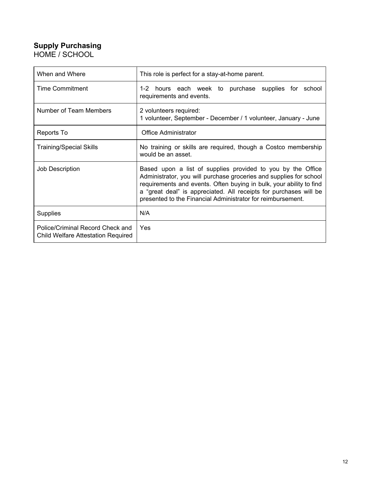## <span id="page-12-0"></span>**Supply Purchasing** HOME / SCHOOL

| When and Where                                                                | This role is perfect for a stay-at-home parent.                                                                                                                                                                                                                                                                                              |
|-------------------------------------------------------------------------------|----------------------------------------------------------------------------------------------------------------------------------------------------------------------------------------------------------------------------------------------------------------------------------------------------------------------------------------------|
| Time Commitment                                                               | 1-2 hours each week to purchase supplies for school<br>requirements and events.                                                                                                                                                                                                                                                              |
| Number of Team Members                                                        | 2 volunteers required:<br>1 volunteer, September - December / 1 volunteer, January - June                                                                                                                                                                                                                                                    |
| Reports To                                                                    | <b>Office Administrator</b>                                                                                                                                                                                                                                                                                                                  |
| <b>Training/Special Skills</b>                                                | No training or skills are required, though a Costco membership<br>would be an asset.                                                                                                                                                                                                                                                         |
| Job Description                                                               | Based upon a list of supplies provided to you by the Office<br>Administrator, you will purchase groceries and supplies for school<br>requirements and events. Often buying in bulk, your ability to find<br>a "great deal" is appreciated. All receipts for purchases will be<br>presented to the Financial Administrator for reimbursement. |
| <b>Supplies</b>                                                               | N/A                                                                                                                                                                                                                                                                                                                                          |
| Police/Criminal Record Check and<br><b>Child Welfare Attestation Required</b> | Yes                                                                                                                                                                                                                                                                                                                                          |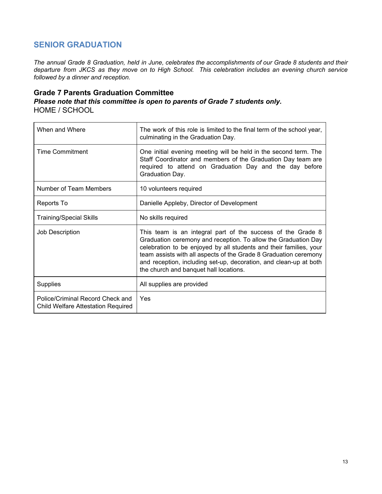# <span id="page-13-0"></span>**SENIOR GRADUATION**

The annual Grade 8 Graduation, held in June, celebrates the accomplishments of our Grade 8 students and their *departure from JKCS as they move on to High School. This celebration includes an evening church service followed by a dinner and reception.*

#### <span id="page-13-1"></span>**Grade 7 Parents Graduation Committee**

*Please note that this committee is open to parents of Grade 7 students only.* HOME / SCHOOL

| When and Where                                                                | The work of this role is limited to the final term of the school year,<br>culminating in the Graduation Day.                                                                                                                                                                                                                                                                           |
|-------------------------------------------------------------------------------|----------------------------------------------------------------------------------------------------------------------------------------------------------------------------------------------------------------------------------------------------------------------------------------------------------------------------------------------------------------------------------------|
| Time Commitment                                                               | One initial evening meeting will be held in the second term. The<br>Staff Coordinator and members of the Graduation Day team are<br>required to attend on Graduation Day and the day before<br>Graduation Day.                                                                                                                                                                         |
| Number of Team Members                                                        | 10 volunteers required                                                                                                                                                                                                                                                                                                                                                                 |
| Reports To                                                                    | Danielle Appleby, Director of Development                                                                                                                                                                                                                                                                                                                                              |
| <b>Training/Special Skills</b>                                                | No skills required                                                                                                                                                                                                                                                                                                                                                                     |
| Job Description                                                               | This team is an integral part of the success of the Grade 8<br>Graduation ceremony and reception. To allow the Graduation Day<br>celebration to be enjoyed by all students and their families, your<br>team assists with all aspects of the Grade 8 Graduation ceremony<br>and reception, including set-up, decoration, and clean-up at both<br>the church and banquet hall locations. |
| <b>Supplies</b>                                                               | All supplies are provided                                                                                                                                                                                                                                                                                                                                                              |
| Police/Criminal Record Check and<br><b>Child Welfare Attestation Required</b> | Yes                                                                                                                                                                                                                                                                                                                                                                                    |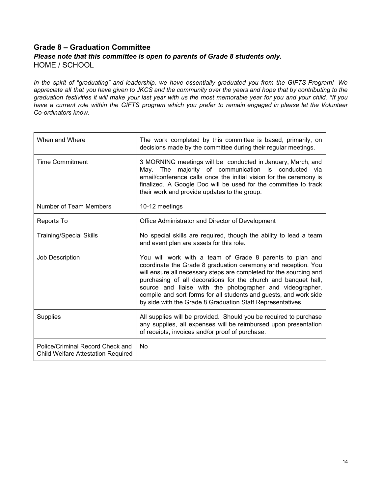## <span id="page-14-0"></span>**Grade 8 – Graduation Committee** *Please note that this committee is open to parents of Grade 8 students only.* HOME / SCHOOL

In the spirit of "graduating" and leadership, we have essentially graduated you from the GIFTS Program! We appreciate all that you have given to JKCS and the community over the years and hope that by contributing to the graduation festivities it will make your last year with us the most memorable year for you and your child. \*If you have a current role within the GIFTS program which you prefer to remain engaged in please let the Volunteer *Co-ordinators know.*

| When and Where                                                                | The work completed by this committee is based, primarily, on<br>decisions made by the committee during their regular meetings.                                                                                                                                                                                                                                                                                                                                    |
|-------------------------------------------------------------------------------|-------------------------------------------------------------------------------------------------------------------------------------------------------------------------------------------------------------------------------------------------------------------------------------------------------------------------------------------------------------------------------------------------------------------------------------------------------------------|
| <b>Time Commitment</b>                                                        | 3 MORNING meetings will be conducted in January, March, and<br>majority of communication is conducted via<br>Mav. The<br>email/conference calls once the initial vision for the ceremony is<br>finalized. A Google Doc will be used for the committee to track<br>their work and provide updates to the group.                                                                                                                                                    |
| Number of Team Members                                                        | 10-12 meetings                                                                                                                                                                                                                                                                                                                                                                                                                                                    |
| Reports To                                                                    | Office Administrator and Director of Development                                                                                                                                                                                                                                                                                                                                                                                                                  |
| <b>Training/Special Skills</b>                                                | No special skills are required, though the ability to lead a team<br>and event plan are assets for this role.                                                                                                                                                                                                                                                                                                                                                     |
| <b>Job Description</b>                                                        | You will work with a team of Grade 8 parents to plan and<br>coordinate the Grade 8 graduation ceremony and reception. You<br>will ensure all necessary steps are completed for the sourcing and<br>purchasing of all decorations for the church and banquet hall,<br>source and liaise with the photographer and videographer,<br>compile and sort forms for all students and guests, and work side<br>by side with the Grade 8 Graduation Staff Representatives. |
| <b>Supplies</b>                                                               | All supplies will be provided. Should you be required to purchase<br>any supplies, all expenses will be reimbursed upon presentation<br>of receipts, invoices and/or proof of purchase.                                                                                                                                                                                                                                                                           |
| Police/Criminal Record Check and<br><b>Child Welfare Attestation Required</b> | No                                                                                                                                                                                                                                                                                                                                                                                                                                                                |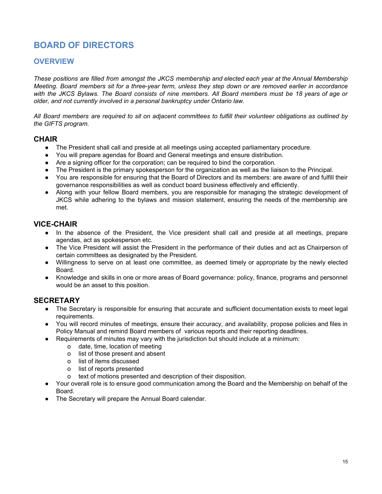# <span id="page-15-0"></span>**BOARD OF DIRECTORS**

### <span id="page-15-1"></span>**OVERVIEW**

These positions are filled from amongst the JKCS membership and elected each year at the Annual Membership Meeting. Board members sit for a three-year term, unless they step down or are removed earlier in accordance with the JKCS Bylaws. The Board consists of nine members. All Board members must be 18 years of age or *older, and not currently involved in a personal bankruptcy under Ontario law.*

All Board members are required to sit on adjacent committees to fulfill their volunteer obligations as outlined by *the GIFTS program.*

#### <span id="page-15-2"></span>**CHAIR**

- The President shall call and preside at all meetings using accepted parliamentary procedure.
- You will prepare agendas for Board and General meetings and ensure distribution.
- Are a signing officer for the corporation; can be required to bind the corporation.
- The President is the primary spokesperson for the organization as well as the liaison to the Principal.
- You are responsible for ensuring that the Board of Directors and its members: are aware of and fulfill their governance responsibilities as well as conduct board business effectively and efficiently.
- Along with your fellow Board members, you are responsible for managing the strategic development of JKCS while adhering to the bylaws and mission statement, ensuring the needs of the membership are met.

### <span id="page-15-3"></span>**VICE-CHAIR**

- In the absence of the President, the Vice president shall call and preside at all meetings, prepare agendas, act as spokesperson etc.
- The Vice President will assist the President in the performance of their duties and act as Chairperson of certain committees as designated by the President.
- Willingness to serve on at least one committee, as deemed timely or appropriate by the newly elected Board.
- Knowledge and skills in one or more areas of Board governance: policy, finance, programs and personnel would be an asset to this position.

#### <span id="page-15-4"></span>**SECRETARY**

- The Secretary is responsible for ensuring that accurate and sufficient documentation exists to meet legal requirements.
- You will record minutes of meetings, ensure their accuracy, and availability, propose policies and files in Policy Manual and remind Board members of various reports and their reporting deadlines.
- Requirements of minutes may vary with the jurisdiction but should include at a minimum:
	- o date, time, location of meeting
		- o list of those present and absent
		- o list of items discussed
		- o list of reports presented
		- o text of motions presented and description of their disposition.
- Your overall role is to ensure good communication among the Board and the Membership on behalf of the Board.
- The Secretary will prepare the Annual Board calendar.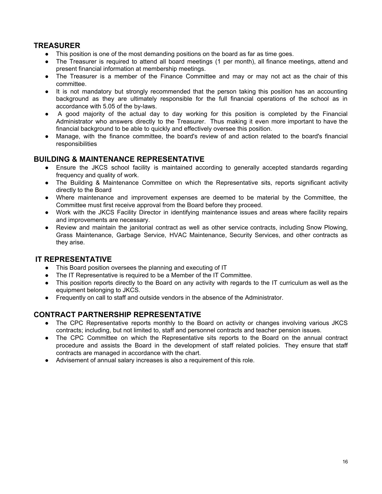## <span id="page-16-0"></span>**TREASURER**

- This position is one of the most demanding positions on the board as far as time goes.
- The Treasurer is required to attend all board meetings (1 per month), all finance meetings, attend and present financial information at membership meetings.
- The Treasurer is a member of the Finance Committee and may or may not act as the chair of this committee.
- It is not mandatory but strongly recommended that the person taking this position has an accounting background as they are ultimately responsible for the full financial operations of the school as in accordance with 5.05 of the by-laws.
- A good majority of the actual day to day working for this position is completed by the Financial Administrator who answers directly to the Treasurer. Thus making it even more important to have the financial background to be able to quickly and effectively oversee this position.
- Manage, with the finance committee, the board's review of and action related to the board's financial responsibilities

## <span id="page-16-1"></span>**BUILDING & MAINTENANCE REPRESENTATIVE**

- Ensure the JKCS school facility is maintained according to generally accepted standards regarding frequency and quality of work.
- The Building & Maintenance Committee on which the Representative sits, reports significant activity directly to the Board
- Where maintenance and improvement expenses are deemed to be material by the Committee, the Committee must first receive approval from the Board before they proceed.
- Work with the JKCS Facility Director in identifying maintenance issues and areas where facility repairs and improvements are necessary.
- Review and maintain the janitorial contract as well as other service contracts, including Snow Plowing, Grass Maintenance, Garbage Service, HVAC Maintenance, Security Services, and other contracts as they arise.

### <span id="page-16-2"></span>**IT REPRESENTATIVE**

- This Board position oversees the planning and executing of IT
- The IT Representative is required to be a Member of the IT Committee.
- This position reports directly to the Board on any activity with regards to the IT curriculum as well as the equipment belonging to JKCS.
- Frequently on call to staff and outside vendors in the absence of the Administrator.

### <span id="page-16-3"></span>**CONTRACT PARTNERSHIP REPRESENTATIVE**

- The CPC Representative reports monthly to the Board on activity or changes involving various JKCS contracts; including, but not limited to, staff and personnel contracts and teacher pension issues.
- The CPC Committee on which the Representative sits reports to the Board on the annual contract procedure and assists the Board in the development of staff related policies. They ensure that staff contracts are managed in accordance with the chart.
- <span id="page-16-4"></span>● Advisement of annual salary increases is also a requirement of this role.